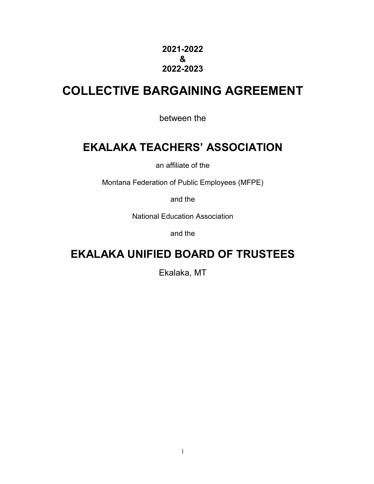### **2021-2022 & 2022-2023**

# **COLLECTIVE BARGAINING AGREEMENT**

between the

# **EKALAKA TEACHERS' ASSOCIATION**

an affiliate of the

Montana Federation of Public Employees (MFPE)

and the

National Education Association

and the

# **EKALAKA UNIFIED BOARD OF TRUSTEES**

Ekalaka, MT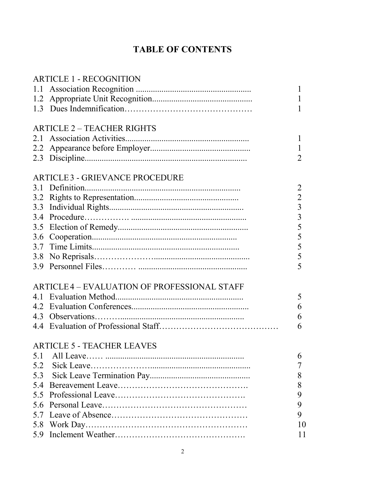# **TABLE OF CONTENTS**

|     | <b>ARTICLE 1 - RECOGNITION</b>                     |                |
|-----|----------------------------------------------------|----------------|
|     |                                                    | 1              |
|     |                                                    |                |
|     |                                                    |                |
|     | <b>ARTICLE 2 - TEACHER RIGHTS</b>                  |                |
|     |                                                    | 1              |
|     |                                                    |                |
|     |                                                    | 2              |
|     | <b>ARTICLE 3 - GRIEVANCE PROCEDURE</b>             |                |
|     |                                                    | 2              |
|     |                                                    | $\overline{2}$ |
|     |                                                    | $\overline{3}$ |
|     |                                                    | $\overline{3}$ |
|     |                                                    | 5              |
|     |                                                    | 5              |
|     |                                                    | 5              |
|     |                                                    | 5              |
|     |                                                    | 5              |
|     | <b>ARTICLE4 – EVALUATION OF PROFESSIONAL STAFF</b> |                |
|     |                                                    | 5              |
|     |                                                    | 6              |
|     |                                                    | 6              |
|     |                                                    | 6              |
|     | <b>ARTICLE 5 - TEACHER LEAVES</b>                  |                |
| 5.1 |                                                    | 6              |
| 5.2 |                                                    | 7              |
|     |                                                    | 8              |
|     |                                                    | 8              |
|     |                                                    | 9              |
|     |                                                    | 9              |
|     |                                                    | 9              |
|     |                                                    | 10             |
| 5.9 |                                                    | 11             |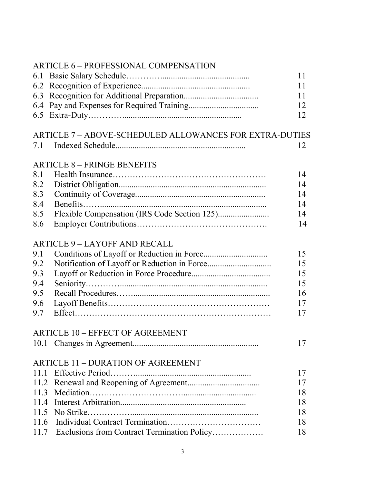|      | <b>ARTICLE 6 – PROFESSIONAL COMPENSATION</b>            |    |
|------|---------------------------------------------------------|----|
|      |                                                         | 11 |
| 6.2  |                                                         | 11 |
| 6.3  |                                                         | 11 |
| 6.4  |                                                         | 12 |
|      |                                                         | 12 |
|      | ARTICLE 7 - ABOVE-SCHEDULED ALLOWANCES FOR EXTRA-DUTIES |    |
| 7.1  |                                                         | 12 |
|      | <b>ARTICLE 8 - FRINGE BENEFITS</b>                      |    |
| 8.1  |                                                         | 14 |
| 8.2  |                                                         | 14 |
| 8.3  |                                                         | 14 |
| 8.4  |                                                         | 14 |
| 8.5  |                                                         | 14 |
| 8.6  |                                                         | 14 |
|      | <b>ARTICLE 9 - LAYOFF AND RECALL</b>                    |    |
| 9.1  |                                                         | 15 |
| 9.2  |                                                         | 15 |
| 9.3  |                                                         | 15 |
| 9.4  |                                                         | 15 |
| 9.5  |                                                         | 16 |
| 9.6  |                                                         | 17 |
| 9.7  |                                                         | 17 |
|      | <b>ARTICLE 10 - EFFECT OF AGREEMENT</b>                 |    |
|      |                                                         | 17 |
|      | <b>ARTICLE 11 - DURATION OF AGREEMENT</b>               |    |
| 11.1 |                                                         | 17 |
| 11.2 |                                                         | 17 |
| 11.3 |                                                         | 18 |
|      |                                                         | 18 |
|      | 11.5 No Strike.                                         | 18 |
| 11.6 |                                                         | 18 |
| 11.7 | Exclusions from Contract Termination Policy             | 18 |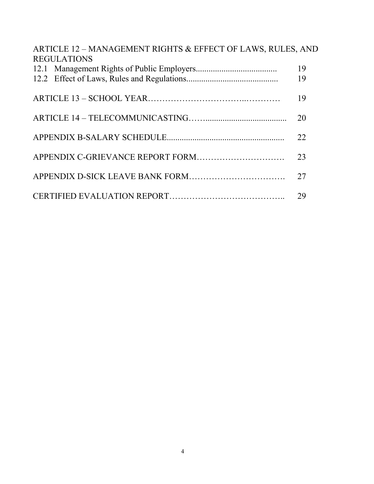| ARTICLE 12 - MANAGEMENT RIGHTS & EFFECT OF LAWS, RULES, AND<br><b>REGULATIONS</b> |    |
|-----------------------------------------------------------------------------------|----|
|                                                                                   | 19 |
|                                                                                   | 19 |
|                                                                                   | 19 |
|                                                                                   | 20 |
|                                                                                   | 22 |
|                                                                                   | 23 |
|                                                                                   | 27 |
|                                                                                   | 29 |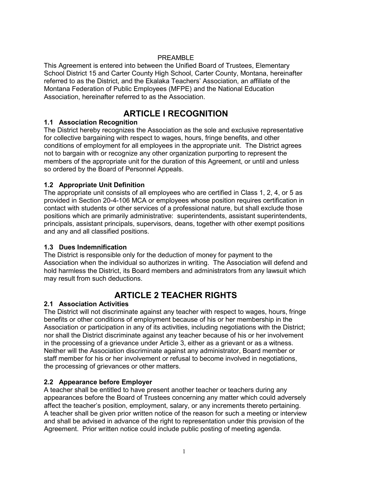#### PREAMBLE

This Agreement is entered into between the Unified Board of Trustees, Elementary School District 15 and Carter County High School, Carter County, Montana, hereinafter referred to as the District, and the Ekalaka Teachers' Association, an affiliate of the Montana Federation of Public Employees (MFPE) and the National Education Association, hereinafter referred to as the Association.

### **ARTICLE I RECOGNITION**

#### **1.1 Association Recognition**

The District hereby recognizes the Association as the sole and exclusive representative for collective bargaining with respect to wages, hours, fringe benefits, and other conditions of employment for all employees in the appropriate unit. The District agrees not to bargain with or recognize any other organization purporting to represent the members of the appropriate unit for the duration of this Agreement, or until and unless so ordered by the Board of Personnel Appeals.

#### **1.2 Appropriate Unit Definition**

The appropriate unit consists of all employees who are certified in Class 1, 2, 4, or 5 as provided in Section 20-4-106 MCA or employees whose position requires certification in contact with students or other services of a professional nature, but shall exclude those positions which are primarily administrative: superintendents, assistant superintendents, principals, assistant principals, supervisors, deans, together with other exempt positions and any and all classified positions.

#### **1.3 Dues Indemnification**

The District is responsible only for the deduction of money for payment to the Association when the individual so authorizes in writing. The Association will defend and hold harmless the District, its Board members and administrators from any lawsuit which may result from such deductions.

### **ARTICLE 2 TEACHER RIGHTS**

### **2.1 Association Activities**

The District will not discriminate against any teacher with respect to wages, hours, fringe benefits or other conditions of employment because of his or her membership in the Association or participation in any of its activities, including negotiations with the District; nor shall the District discriminate against any teacher because of his or her involvement in the processing of a grievance under Article 3, either as a grievant or as a witness. Neither will the Association discriminate against any administrator, Board member or staff member for his or her involvement or refusal to become involved in negotiations, the processing of grievances or other matters.

#### **2.2 Appearance before Employer**

A teacher shall be entitled to have present another teacher or teachers during any appearances before the Board of Trustees concerning any matter which could adversely affect the teacher's position, employment, salary, or any increments thereto pertaining. A teacher shall be given prior written notice of the reason for such a meeting or interview and shall be advised in advance of the right to representation under this provision of the Agreement. Prior written notice could include public posting of meeting agenda.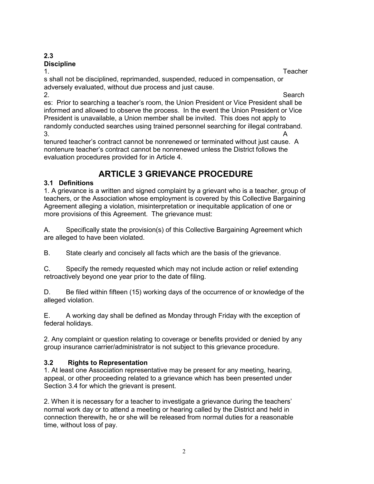#### **2.3 Discipline**

1. Teacher

s shall not be disciplined, reprimanded, suspended, reduced in compensation, or adversely evaluated, without due process and just cause.

2. es: Prior to searching a teacher's room, the Union President or Vice President shall be informed and allowed to observe the process. In the event the Union President or Vice President is unavailable, a Union member shall be invited. This does not apply to randomly conducted searches using trained personnel searching for illegal contraband.  $3.$  A

tenured teacher's contract cannot be nonrenewed or terminated without just cause. A nontenure teacher's contract cannot be nonrenewed unless the District follows the evaluation procedures provided for in Article 4.

## **ARTICLE 3 GRIEVANCE PROCEDURE**

### **3.1 Definitions**

1. A grievance is a written and signed complaint by a grievant who is a teacher, group of teachers, or the Association whose employment is covered by this Collective Bargaining Agreement alleging a violation, misinterpretation or inequitable application of one or more provisions of this Agreement. The grievance must:

A. Specifically state the provision(s) of this Collective Bargaining Agreement which are alleged to have been violated.

B. State clearly and concisely all facts which are the basis of the grievance.

C. Specify the remedy requested which may not include action or relief extending retroactively beyond one year prior to the date of filing.

D. Be filed within fifteen (15) working days of the occurrence of or knowledge of the alleged violation.

E. A working day shall be defined as Monday through Friday with the exception of federal holidays.

2. Any complaint or question relating to coverage or benefits provided or denied by any group insurance carrier/administrator is not subject to this grievance procedure.

### **3.2 Rights to Representation**

1. At least one Association representative may be present for any meeting, hearing, appeal, or other proceeding related to a grievance which has been presented under Section 3.4 for which the grievant is present.

2. When it is necessary for a teacher to investigate a grievance during the teachers' normal work day or to attend a meeting or hearing called by the District and held in connection therewith, he or she will be released from normal duties for a reasonable time, without loss of pay.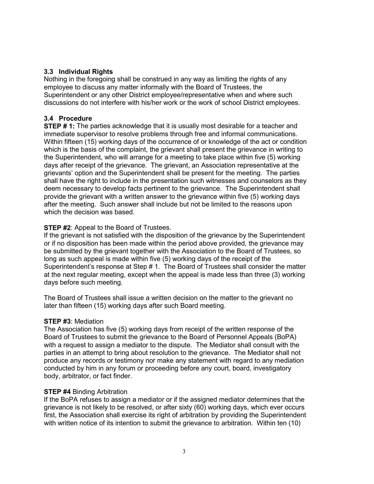#### **3.3 Individual Rights**

Nothing in the foregoing shall be construed in any way as limiting the rights of any employee to discuss any matter informally with the Board of Trustees, the Superintendent or any other District employee/representative when and where such discussions do not interfere with his/her work or the work of school District employees.

#### **3.4 Procedure**

**STEP # 1:** The parties acknowledge that it is usually most desirable for a teacher and immediate supervisor to resolve problems through free and informal communications. Within fifteen (15) working days of the occurrence of or knowledge of the act or condition which is the basis of the complaint, the grievant shall present the grievance in writing to the Superintendent, who will arrange for a meeting to take place within five (5) working days after receipt of the grievance. The grievant, an Association representative at the grievants' option and the Superintendent shall be present for the meeting. The parties shall have the right to include in the presentation such witnesses and counselors as they deem necessary to develop facts pertinent to the grievance. The Superintendent shall provide the grievant with a written answer to the grievance within five (5) working days after the meeting. Such answer shall include but not be limited to the reasons upon which the decision was based.

#### **STEP #2:** Appeal to the Board of Trustees.

If the grievant is not satisfied with the disposition of the grievance by the Superintendent or if no disposition has been made within the period above provided, the grievance may be submitted by the grievant together with the Association to the Board of Trustees, so long as such appeal is made within five (5) working days of the receipt of the Superintendent's response at Step # 1*.* The Board of Trustees shall consider the matter at the next regular meeting, except when the appeal is made less than three (3) working days before such meeting.

The Board of Trustees shall issue a written decision on the matter to the grievant no later than fifteen (15) working days after such Board meeting.

#### **STEP #3**: Mediation

The Association has five (5) working days from receipt of the written response of the Board of Trustees to submit the grievance to the Board of Personnel Appeals (BoPA) with a request to assign a mediator to the dispute. The Mediator shall consult with the parties in an attempt to bring about resolution to the grievance. The Mediator shall not produce any records or testimony nor make any statement with regard to any mediation conducted by him in any forum or proceeding before any court, board, investigatory body, arbitrator, or fact finder.

#### **STEP #4** Binding Arbitration

If the BoPA refuses to assign a mediator or if the assigned mediator determines that the grievance is not likely to be resolved, or after sixty (60) working days, which ever occurs first, the Association shall exercise its right of arbitration by providing the Superintendent with written notice of its intention to submit the grievance to arbitration. Within ten (10)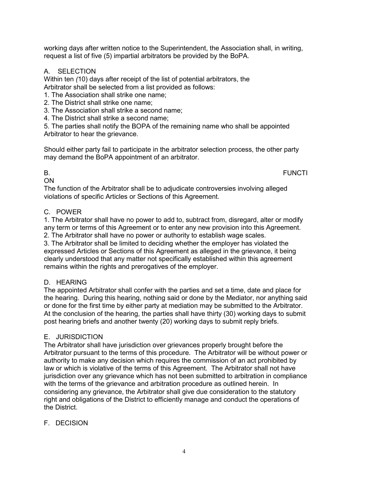working days after written notice to the Superintendent, the Association shall, in writing, request a list of five (5) impartial arbitrators be provided by the BoPA.

#### A. SELECTION

Within ten *(*10) days after receipt of the list of potential arbitrators, the Arbitrator shall be selected from a list provided as follows:

1. The Association shall strike one name;

2. The District shall strike one name;

3. The Association shall strike a second name;

4. The District shall strike a second name;

5. The parties shall notify the BOPA of the remaining name who shall be appointed Arbitrator to hear the grievance.

Should either party fail to participate in the arbitrator selection process, the other party may demand the BoPA appointment of an arbitrator.

# ON

B. FUNCTI

The function of the Arbitrator shall be to adjudicate controversies involving alleged violations of specific Articles or Sections of this Agreement.

#### C. POWER

1. The Arbitrator shall have no power to add to, subtract from, disregard, alter or modify any term or terms of this Agreement or to enter any new provision into this Agreement. 2. The Arbitrator shall have no power or authority to establish wage scales.

3. The Arbitrator shall be limited to deciding whether the employer has violated the expressed Articles or Sections of this Agreement as alleged in the grievance, it being clearly understood that any matter not specifically established within this agreement remains within the rights and prerogatives of the employer.

#### D. HEARING

The appointed Arbitrator shall confer with the parties and set a time, date and place for the hearing. During this hearing, nothing said or done by the Mediator, nor anything said or done for the first time by either party at mediation may be submitted to the Arbitrator. At the conclusion of the hearing, the parties shall have thirty (30) working days to submit post hearing briefs and another twenty (20) working days to submit reply briefs.

#### E. JURISDICTION

The Arbitrator shall have jurisdiction over grievances properly brought before the Arbitrator pursuant to the terms of this procedure. The Arbitrator will be without power or authority to make any decision which requires the commission of an act prohibited by law or which is violative of the terms of this Agreement. The Arbitrator shall not have jurisdiction over any grievance which has not been submitted to arbitration in compliance with the terms of the grievance and arbitration procedure as outlined herein. In considering any grievance, the Arbitrator shall give due consideration to the statutory right and obligations of the District to efficiently manage and conduct the operations of the District.

#### F. DECISION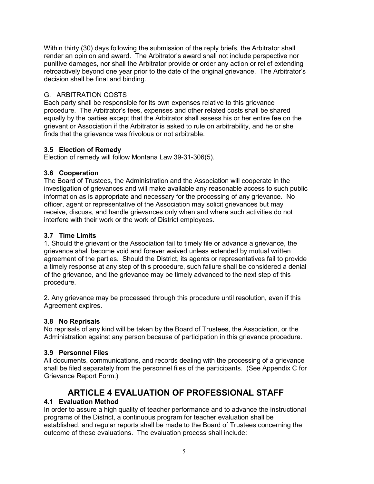Within thirty (30) days following the submission of the reply briefs, the Arbitrator shall render an opinion and award. The Arbitrator's award shall not include perspective nor punitive damages, nor shall the Arbitrator provide or order any action or relief extending retroactively beyond one year prior to the date of the original grievance. The Arbitrator's decision shall be final and binding.

#### G. ARBITRATION COSTS

Each party shall be responsible for its own expenses relative to this grievance procedure. The Arbitrator's fees, expenses and other related costs shall be shared equally by the parties except that the Arbitrator shall assess his or her entire fee on the grievant or Association if the Arbitrator is asked to rule on arbitrability, and he or she finds that the grievance was frivolous or not arbitrable.

#### **3.5 Election of Remedy**

Election of remedy will follow Montana Law 39-31-306(5).

#### **3.6 Cooperation**

The Board of Trustees, the Administration and the Association will cooperate in the investigation of grievances and will make available any reasonable access to such public information as is appropriate and necessary for the processing of any grievance. No officer, agent or representative of the Association may solicit grievances but may receive, discuss, and handle grievances only when and where such activities do not interfere with their work or the work of District employees.

#### **3.7 Time Limits**

1. Should the grievant or the Association fail to timely file or advance a grievance, the grievance shall become void and forever waived unless extended by mutual written agreement of the parties. Should the District, its agents or representatives fail to provide a timely response at any step of this procedure, such failure shall be considered a denial of the grievance, and the grievance may be timely advanced to the next step of this procedure.

2. Any grievance may be processed through this procedure until resolution, even if this Agreement expires.

#### **3.8 No Reprisals**

No reprisals of any kind will be taken by the Board of Trustees, the Association, or the Administration against any person because of participation in this grievance procedure.

#### **3.9 Personnel Files**

All documents, communications, and records dealing with the processing of a grievance shall be filed separately from the personnel files of the participants. (See Appendix C for Grievance Report Form.)

### **ARTICLE 4 EVALUATION OF PROFESSIONAL STAFF**

#### **4.1 Evaluation Method**

In order to assure a high quality of teacher performance and to advance the instructional programs of the District, a continuous program for teacher evaluation shall be established, and regular reports shall be made to the Board of Trustees concerning the outcome of these evaluations. The evaluation process shall include: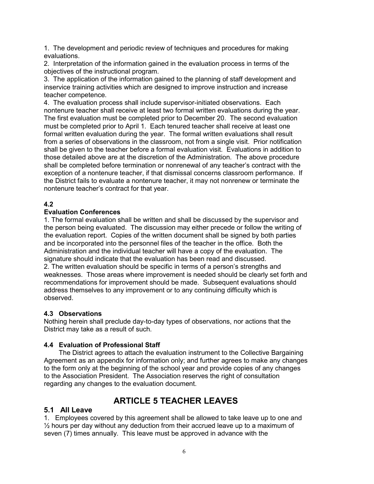1. The development and periodic review of techniques and procedures for making evaluations.

2. Interpretation of the information gained in the evaluation process in terms of the objectives of the instructional program.

3. The application of the information gained to the planning of staff development and inservice training activities which are designed to improve instruction and increase teacher competence.

4. The evaluation process shall include supervisor-initiated observations. Each nontenure teacher shall receive at least two formal written evaluations during the year. The first evaluation must be completed prior to December 20. The second evaluation must be completed prior to April 1. Each tenured teacher shall receive at least one formal written evaluation during the year. The formal written evaluations shall result from a series of observations in the classroom, not from a single visit. Prior notification shall be given to the teacher before a formal evaluation visit. Evaluations in addition to those detailed above are at the discretion of the Administration. The above procedure shall be completed before termination or nonrenewal of any teacher's contract with the exception of a nontenure teacher, if that dismissal concerns classroom performance. If the District fails to evaluate a nontenure teacher, it may not nonrenew or terminate the nontenure teacher's contract for that year.

#### **4.2**

#### **Evaluation Conferences**

1. The formal evaluation shall be written and shall be discussed by the supervisor and the person being evaluated. The discussion may either precede or follow the writing of the evaluation report. Copies of the written document shall be signed by both parties and be incorporated into the personnel files of the teacher in the office. Both the Administration and the individual teacher will have a copy of the evaluation. The signature should indicate that the evaluation has been read and discussed. 2. The written evaluation should be specific in terms of a person's strengths and weaknesses. Those areas where improvement is needed should be clearly set forth and recommendations for improvement should be made. Subsequent evaluations should address themselves to any improvement or to any continuing difficulty which is observed.

#### **4.3 Observations**

Nothing herein shall preclude day-to-day types of observations, nor actions that the District may take as a result of such.

#### **4.4 Evaluation of Professional Staff**

 The District agrees to attach the evaluation instrument to the Collective Bargaining Agreement as an appendix for information only; and further agrees to make any changes to the form only at the beginning of the school year and provide copies of any changes to the Association President. The Association reserves the right of consultation regarding any changes to the evaluation document.

### **ARTICLE 5 TEACHER LEAVES**

#### **5.1 All Leave**

1. Employees covered by this agreement shall be allowed to take leave up to one and ½ hours per day without any deduction from their accrued leave up to a maximum of seven (7) times annually. This leave must be approved in advance with the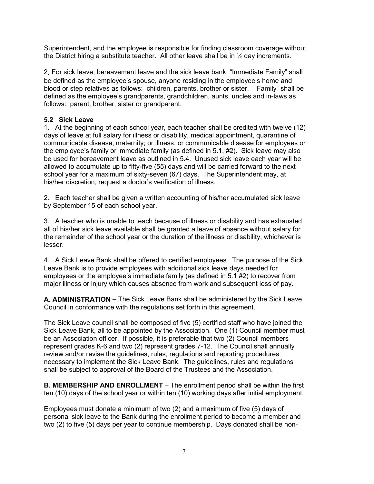Superintendent, and the employee is responsible for finding classroom coverage without the District hiring a substitute teacher. All other leave shall be in ½ day increments.

2. For sick leave, bereavement leave and the sick leave bank, "Immediate Family" shall be defined as the employee's spouse, anyone residing in the employee's home and blood or step relatives as follows: children, parents, brother or sister. "Family" shall be defined as the employee's grandparents, grandchildren, aunts, uncles and in-laws as follows: parent, brother, sister or grandparent.

#### **5.2 Sick Leave**

1. At the beginning of each school year, each teacher shall be credited with twelve (12) days of leave at full salary for illness or disability, medical appointment, quarantine of communicable disease, maternity; or illness, or communicable disease for employees or the employee's family or immediate family (as defined in 5.1, #2). Sick leave may also be used for bereavement leave as outlined in 5.4. Unused sick leave each year will be allowed to accumulate up to fifty-five (55) days and will be carried forward to the next school year for a maximum of sixty-seven (67) days. The Superintendent may, at his/her discretion, request a doctor's verification of illness.

2. Each teacher shall be given a written accounting of his/her accumulated sick leave by September 15 of each school year.

3. A teacher who is unable to teach because of illness or disability and has exhausted all of his/her sick leave available shall be granted a leave of absence without salary for the remainder of the school year or the duration of the illness or disability, whichever is lesser.

4. A Sick Leave Bank shall be offered to certified employees. The purpose of the Sick Leave Bank is to provide employees with additional sick leave days needed for employees or the employee's immediate family (as defined in 5.1 #2) to recover from major illness or injury which causes absence from work and subsequent loss of pay.

**A. ADMINISTRATION** – The Sick Leave Bank shall be administered by the Sick Leave Council in conformance with the regulations set forth in this agreement.

The Sick Leave council shall be composed of five (5) certified staff who have joined the Sick Leave Bank, all to be appointed by the Association. One (1) Council member must be an Association officer. If possible, it is preferable that two (2) Council members represent grades K-6 and two (2) represent grades 7-12. The Council shall annually review and/or revise the guidelines, rules, regulations and reporting procedures necessary to implement the Sick Leave Bank. The guidelines, rules and regulations shall be subject to approval of the Board of the Trustees and the Association.

**B. MEMBERSHIP AND ENROLLMENT** – The enrollment period shall be within the first ten (10) days of the school year or within ten (10) working days after initial employment.

Employees must donate a minimum of two (2) and a maximum of five (5) days of personal sick leave to the Bank during the enrollment period to become a member and two (2) to five (5) days per year to continue membership. Days donated shall be non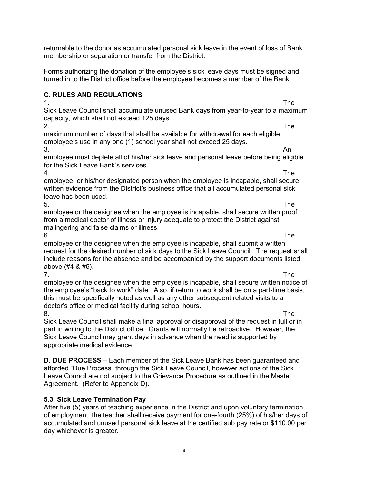returnable to the donor as accumulated personal sick leave in the event of loss of Bank membership or separation or transfer from the District.

Forms authorizing the donation of the employee's sick leave days must be signed and turned in to the District office before the employee becomes a member of the Bank.

# **C. RULES AND REGULATIONS**

1. The Sick Leave Council shall accumulate unused Bank days from year-to-year to a maximum capacity, which shall not exceed 125 days.

2. The maximum number of days that shall be available for withdrawal for each eligible employee's use in any one (1) school year shall not exceed 25 days.

 $3.$  An employee must deplete all of his/her sick leave and personal leave before being eligible for the Sick Leave Bank's services.

4. The employee, or his/her designated person when the employee is incapable, shall secure written evidence from the District's business office that all accumulated personal sick leave has been used.

5. The employee or the designee when the employee is incapable, shall secure written proof from a medical doctor of illness or injury adequate to protect the District against malingering and false claims or illness.

6. The state of the state of the state of the state of the state of the state of the state of the state of the employee or the designee when the employee is incapable, shall submit a written request for the desired number of sick days to the Sick Leave Council. The request shall include reasons for the absence and be accompanied by the support documents listed above (#4 & #5).

**7.** The set of the set of the set of the set of the set of the set of the set of the set of the set of the set of the set of the set of the set of the set of the set of the set of the set of the set of the set of the set employee or the designee when the employee is incapable, shall secure written notice of the employee's "back to work" date. Also, if return to work shall be on a part-time basis, this must be specifically noted as well as any other subsequent related visits to a doctor's office or medical facility during school hours.

8. The state of the state of the state of the state of the state of the state of the state of the state of the Sick Leave Council shall make a final approval or disapproval of the request in full or in part in writing to the District office. Grants will normally be retroactive. However, the Sick Leave Council may grant days in advance when the need is supported by appropriate medical evidence.

**D**. **DUE PROCESS** – Each member of the Sick Leave Bank has been guaranteed and afforded "Due Process" through the Sick Leave Council, however actions of the Sick Leave Council are not subject to the Grievance Procedure as outlined in the Master Agreement. (Refer to Appendix D).

#### **5.3 Sick Leave Termination Pay**

After five (5) years of teaching experience in the District and upon voluntary termination of employment, the teacher shall receive payment for one-fourth (25%) of his/her days of accumulated and unused personal sick leave at the certified sub pay rate or \$110.00 per day whichever is greater.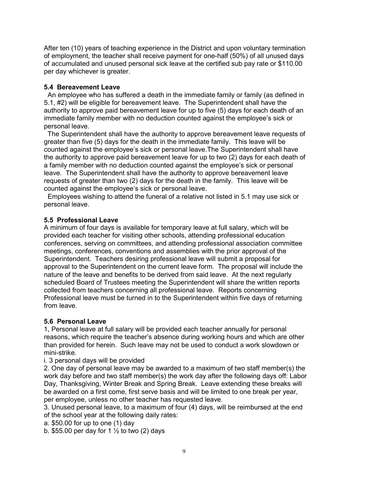After ten (10) years of teaching experience in the District and upon voluntary termination of employment, the teacher shall receive payment for one-half (50%) of all unused days of accumulated and unused personal sick leave at the certified sub pay rate or \$110.00 per day whichever is greater.

#### **5.4 Bereavement Leave**

An employee who has suffered a death in the immediate family or family (as defined in 5.1, #2) will be eligible for bereavement leave. The Superintendent shall have the authority to approve paid bereavement leave for up to five (5) days for each death of an immediate family member with no deduction counted against the employee's sick or personal leave.

 The Superintendent shall have the authority to approve bereavement leave requests of greater than five (5) days for the death in the immediate family. This leave will be counted against the employee's sick or personal leave.The Superintendent shall have the authority to approve paid bereavement leave for up to two (2) days for each death of a family member with no deduction counted against the employee's sick or personal leave. The Superintendent shall have the authority to approve bereavement leave requests of greater than two (2) days for the death in the family. This leave will be counted against the employee's sick or personal leave.

 Employees wishing to attend the funeral of a relative not listed in 5.1 may use sick or personal leave.

#### **5.5 Professional Leave**

A minimum of four days is available for temporary leave at full salary, which will be provided each teacher for visiting other schools, attending professional education conferences, serving on committees, and attending professional association committee meetings, conferences, conventions and assemblies with the prior approval of the Superintendent. Teachers desiring professional leave will submit a proposal for approval to the Superintendent on the current leave form. The proposal will include the nature of the leave and benefits to be derived from said leave. At the next regularly scheduled Board of Trustees meeting the Superintendent will share the written reports collected from teachers concerning all professional leave. Reports concerning Professional leave must be turned in to the Superintendent within five days of returning from leave.

#### **5.6 Personal Leave**

1**.** Personal leave at full salary will be provided each teacher annually for personal reasons, which require the teacher's absence during working hours and which are other than provided for herein. Such leave may not be used to conduct a work slowdown or mini-strike.

i. 3 personal days will be provided

2. One day of personal leave may be awarded to a maximum of two staff member(s) the work day before and two staff member(s) the work day after the following days off: Labor Day, Thanksgiving, Winter Break and Spring Break. Leave extending these breaks will be awarded on a first come, first serve basis and will be limited to one break per year, per employee, unless no other teacher has requested leave.

3. Unused personal leave, to a maximum of four (4) days, will be reimbursed at the end of the school year at the following daily rates:

a. \$50.00 for up to one (1) day

b. \$55.00 per day for 1  $\frac{1}{2}$  to two (2) days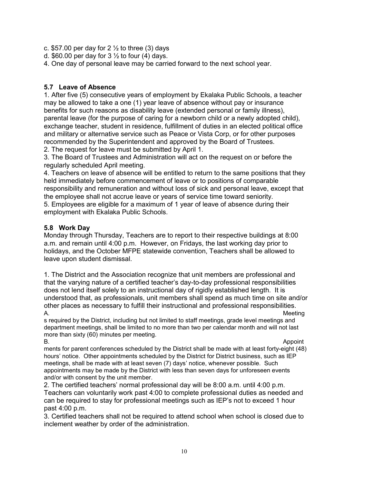- c. \$57.00 per day for  $2\frac{1}{2}$  to three (3) days
- d. \$60.00 per day for  $3\frac{1}{2}$  to four (4) days.
- 4. One day of personal leave may be carried forward to the next school year.

#### **5.7 Leave of Absence**

1. After five (5) consecutive years of employment by Ekalaka Public Schools, a teacher may be allowed to take a one (1) year leave of absence without pay or insurance benefits for such reasons as disability leave (extended personal or family illness), parental leave (for the purpose of caring for a newborn child or a newly adopted child), exchange teacher, student in residence, fulfillment of duties in an elected political office and military or alternative service such as Peace or Vista Corp, or for other purposes recommended by the Superintendent and approved by the Board of Trustees.

2. The request for leave must be submitted by April 1.

3. The Board of Trustees and Administration will act on the request on or before the regularly scheduled April meeting.

4. Teachers on leave of absence will be entitled to return to the same positions that they held immediately before commencement of leave or to positions of comparable responsibility and remuneration and without loss of sick and personal leave, except that the employee shall not accrue leave or years of service time toward seniority.

5. Employees are eligible for a maximum of 1 year of leave of absence during their employment with Ekalaka Public Schools.

#### **5.8 Work Day**

Monday through Thursday, Teachers are to report to their respective buildings at 8:00 a.m. and remain until 4:00 p.m. However, on Fridays, the last working day prior to holidays, and the October MFPE statewide convention, Teachers shall be allowed to leave upon student dismissal.

1. The District and the Association recognize that unit members are professional and that the varying nature of a certified teacher's day-to-day professional responsibilities does not lend itself solely to an instructional day of rigidly established length. It is understood that, as professionals, unit members shall spend as much time on site and/or other places as necessary to fulfill their instructional and professional responsibilities. A. Meeting

s required by the District, including but not limited to staff meetings, grade level meetings and department meetings, shall be limited to no more than two per calendar month and will not last more than sixty (60) minutes per meeting.

B. Appoint ments for parent conferences scheduled by the District shall be made with at least forty-eight (48) hours' notice. Other appointments scheduled by the District for District business, such as IEP meetings, shall be made with at least seven (7) days' notice, whenever possible. Such appointments may be made by the District with less than seven days for unforeseen events and/or with consent by the unit member.

2. The certified teachers' normal professional day will be 8:00 a.m. until 4:00 p.m. Teachers can voluntarily work past 4:00 to complete professional duties as needed and can be required to stay for professional meetings such as IEP's not to exceed 1 hour past 4:00 p.m.

3. Certified teachers shall not be required to attend school when school is closed due to inclement weather by order of the administration.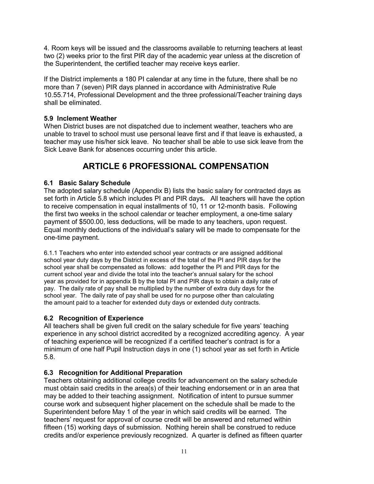4. Room keys will be issued and the classrooms available to returning teachers at least two (2) weeks prior to the first PIR day of the academic year unless at the discretion of the Superintendent, the certified teacher may receive keys earlier.

If the District implements a 180 PI calendar at any time in the future, there shall be no more than 7 (seven) PIR days planned in accordance with Administrative Rule 10.55.714, Professional Development and the three professional/Teacher training days shall be eliminated.

#### **5.9 Inclement Weather**

When District buses are not dispatched due to inclement weather, teachers who are unable to travel to school must use personal leave first and if that leave is exhausted, a teacher may use his/her sick leave. No teacher shall be able to use sick leave from the Sick Leave Bank for absences occurring under this article.

### **ARTICLE 6 PROFESSIONAL COMPENSATION**

#### **6.1 Basic Salary Schedule**

The adopted salary schedule (Appendix B) lists the basic salary for contracted days as set forth in Article 5.8 which includes PI and PIR days*.* All teachers will have the option to receive compensation in equal installments of 10, 11 or 12-month basis. Following the first two weeks in the school calendar or teacher employment, a one-time salary payment of \$500.00, less deductions, will be made to any teachers, upon request. Equal monthly deductions of the individual's salary will be made to compensate for the one-time payment.

6.1.1 Teachers who enter into extended school year contracts or are assigned additional school year duty days by the District in excess of the total of the PI and PIR days for the school year shall be compensated as follows: add together the PI and PIR days for the current school year and divide the total into the teacher's annual salary for the school year as provided for in appendix B by the total PI and PIR days to obtain a daily rate of pay. The daily rate of pay shall be multiplied by the number of extra duty days for the school year. The daily rate of pay shall be used for no purpose other than calculating the amount paid to a teacher for extended duty days or extended duty contracts.

#### **6.2 Recognition of Experience**

All teachers shall be given full credit on the salary schedule for five years' teaching experience in any school district accredited by a recognized accrediting agency. A year of teaching experience will be recognized if a certified teacher's contract is for a minimum of one half Pupil Instruction days in one (1) school year as set forth in Article 5.8.

#### **6.3 Recognition for Additional Preparation**

Teachers obtaining additional college credits for advancement on the salary schedule must obtain said credits in the area(s) of their teaching endorsement or in an area that may be added to their teaching assignment. Notification of intent to pursue summer course work and subsequent higher placement on the schedule shall be made to the Superintendent before May 1 of the year in which said credits will be earned. The teachers' request for approval of course credit will be answered and returned within fifteen (15) working days of submission. Nothing herein shall be construed to reduce credits and/or experience previously recognized. A quarter is defined as fifteen quarter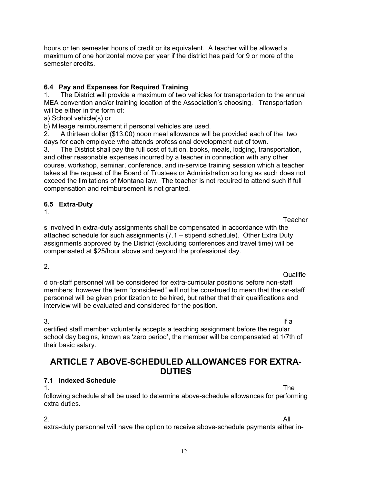hours or ten semester hours of credit or its equivalent. A teacher will be allowed a maximum of one horizontal move per year if the district has paid for 9 or more of the semester credits.

#### **6.4 Pay and Expenses for Required Training**

1. The District will provide a maximum of two vehicles for transportation to the annual MEA convention and/or training location of the Association's choosing. Transportation will be either in the form of:

a) School vehicle(s) or

b) Mileage reimbursement if personal vehicles are used.

2. A thirteen dollar (\$13.00) noon meal allowance will be provided each of the two days for each employee who attends professional development out of town.

3. The District shall pay the full cost of tuition, books, meals, lodging, transportation, and other reasonable expenses incurred by a teacher in connection with any other course, workshop, seminar, conference, and in-service training session which a teacher takes at the request of the Board of Trustees or Administration so long as such does not exceed the limitations of Montana law. The teacher is not required to attend such if full compensation and reimbursement is not granted.

#### **6.5 Extra-Duty**

1.

s involved in extra-duty assignments shall be compensated in accordance with the attached schedule for such assignments (7.1 – stipend schedule). Other Extra Duty assignments approved by the District (excluding conferences and travel time) will be compensated at \$25/hour above and beyond the professional day.

2.

Qualifie

**Teacher** 

d on-staff personnel will be considered for extra-curricular positions before non-staff members; however the term "considered" will not be construed to mean that the on-staff personnel will be given prioritization to be hired, but rather that their qualifications and interview will be evaluated and considered for the position.

 $3.$ certified staff member voluntarily accepts a teaching assignment before the regular school day begins, known as 'zero period', the member will be compensated at 1/7th of their basic salary.

### **ARTICLE 7 ABOVE-SCHEDULED ALLOWANCES FOR EXTRA-DUTIES**

#### **7.1 Indexed Schedule**

1. The following schedule shall be used to determine above-schedule allowances for performing extra duties.

2. All extra-duty personnel will have the option to receive above-schedule payments either in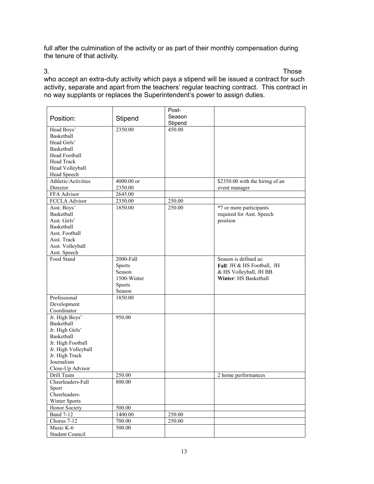full after the culmination of the activity or as part of their monthly compensation during the tenure of that activity.

3. Those who accept an extra-duty activity which pays a stipend will be issued a contract for such activity, separate and apart from the teachers' regular teaching contract. This contract in no way supplants or replaces the Superintendent's power to assign duties.

|                              |             | Post-   |                                 |
|------------------------------|-------------|---------|---------------------------------|
| Position:                    | Stipend     | Season  |                                 |
|                              |             | Stipend |                                 |
| Head Boys'                   | 2350.00     | 450.00  |                                 |
| Basketball                   |             |         |                                 |
| Head Girls'                  |             |         |                                 |
| Basketball                   |             |         |                                 |
| <b>Head Football</b>         |             |         |                                 |
| <b>Head Track</b>            |             |         |                                 |
| Head Volleyball              |             |         |                                 |
| Head Speech                  |             |         |                                 |
| Athletic/Activities          | 4000.00 or  |         | \$2350.00 with the hiring of an |
| Director                     | 2350.00     |         | event manager                   |
| FFA Advisor                  | 2645.00     |         |                                 |
| FCCLA Advisor                | 2350.00     | 250.00  |                                 |
| Asst. Boys'                  | 1850.00     | 250.00  | *7 or more participants         |
| Basketball                   |             |         | required for Asst. Speech       |
| Asst. Girls'                 |             |         | position                        |
| Basketball                   |             |         |                                 |
| Asst. Football               |             |         |                                 |
| Asst. Track                  |             |         |                                 |
| Asst. Volleyball             |             |         |                                 |
| Asst. Speech                 |             |         |                                 |
| Food Stand                   | 2000-Fall   |         | Season is defined as:           |
|                              | Sports      |         | Fall: JH & HS Football, JH      |
|                              | Season      |         | & HS Volleyball, JH BB          |
|                              | 1500-Winter |         | Winter: HS Basketball           |
|                              | Sports      |         |                                 |
|                              | Season      |         |                                 |
| Professional                 | 1850.00     |         |                                 |
| Development                  |             |         |                                 |
| Coordinator                  |             |         |                                 |
|                              | 950.00      |         |                                 |
| Jr. High Boys'<br>Basketball |             |         |                                 |
| Jr. High Girls'              |             |         |                                 |
| Basketball                   |             |         |                                 |
| Jr. High Football            |             |         |                                 |
| Jr. High Volleyball          |             |         |                                 |
| Jr. High Track               |             |         |                                 |
| Journalism                   |             |         |                                 |
| Close-Up Advisor             |             |         |                                 |
|                              |             |         |                                 |
| Drill Team                   | 250.00      |         | 2 home performances             |
| Cheerleaders-Fall            | 800.00      |         |                                 |
| Sport                        |             |         |                                 |
| Cheerleaders-                |             |         |                                 |
| Winter Sports                |             |         |                                 |
| Honor Society                | 500.00      |         |                                 |
| <b>Band 7-12</b>             | 1400.00     | 250.00  |                                 |
| Chorus 7-12                  | 700.00      | 250.00  |                                 |
| Music K-6                    | 500.00      |         |                                 |
| Student Council              |             |         |                                 |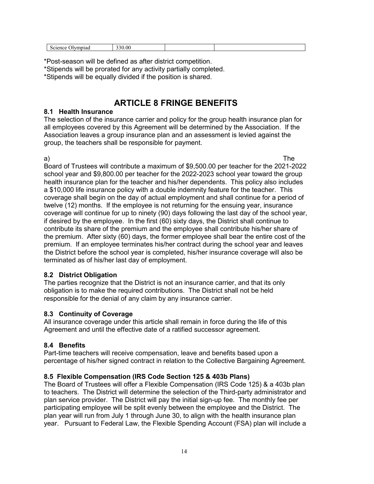| ,,,<br>. .<br>- | 0.00<br>$\cdots$<br>Science<br>-------<br>mpiac. |
|-----------------|--------------------------------------------------|
|-----------------|--------------------------------------------------|

\*Post-season will be defined as after district competition.

\*Stipends will be prorated for any activity partially completed.

\*Stipends will be equally divided if the position is shared.

### **ARTICLE 8 FRINGE BENEFITS**

#### **8.1 Health Insurance**

The selection of the insurance carrier and policy for the group health insurance plan for all employees covered by this Agreement will be determined by the Association. If the Association leaves a group insurance plan and an assessment is levied against the group, the teachers shall be responsible for payment.

a) The Board of Trustees will contribute a maximum of \$9,500.00 per teacher for the 2021-2022 school year and \$9,800.00 per teacher for the 2022-2023 school year toward the group health insurance plan for the teacher and his/her dependents. This policy also includes a \$10,000 life insurance policy with a double indemnity feature for the teacher. This coverage shall begin on the day of actual employment and shall continue for a period of twelve (12) months. If the employee is not returning for the ensuing year, insurance coverage will continue for up to ninety (90) days following the last day of the school year, if desired by the employee. In the first (60) sixty days, the District shall continue to contribute its share of the premium and the employee shall contribute his/her share of the premium. After sixty (60) days, the former employee shall bear the entire cost of the premium. If an employee terminates his/her contract during the school year and leaves the District before the school year is completed, his/her insurance coverage will also be terminated as of his/her last day of employment.

#### **8.2 District Obligation**

The parties recognize that the District is not an insurance carrier, and that its only obligation is to make the required contributions. The District shall not be held responsible for the denial of any claim by any insurance carrier.

#### **8.3 Continuity of Coverage**

All insurance coverage under this article shall remain in force during the life of this Agreement and until the effective date of a ratified successor agreement.

#### **8.4 Benefits**

Part-time teachers will receive compensation, leave and benefits based upon a percentage of his/her signed contract in relation to the Collective Bargaining Agreement.

#### **8.5 Flexible Compensation (IRS Code Section 125 & 403b Plans)**

The Board of Trustees will offer a Flexible Compensation (IRS Code 125) & a 403b plan to teachers. The District will determine the selection of the Third-party administrator and plan service provider. The District will pay the initial sign-up fee. The monthly fee per participating employee will be split evenly between the employee and the District. The plan year will run from July 1 through June 30, to align with the health insurance plan year. Pursuant to Federal Law, the Flexible Spending Account (FSA) plan will include a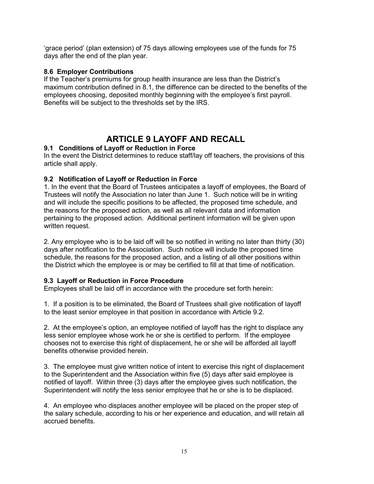'grace period' (plan extension) of 75 days allowing employees use of the funds for 75 days after the end of the plan year.

#### **8.6 Employer Contributions**

If the Teacher's premiums for group health insurance are less than the District's maximum contribution defined in 8.1, the difference can be directed to the benefits of the employees choosing, deposited monthly beginning with the employee's first payroll. Benefits will be subject to the thresholds set by the IRS.

### **ARTICLE 9 LAYOFF AND RECALL**

#### **9.1 Conditions of Layoff or Reduction in Force**

In the event the District determines to reduce staff/lay off teachers, the provisions of this article shall apply.

#### **9.2 Notification of Layoff or Reduction in Force**

1. In the event that the Board of Trustees anticipates a layoff of employees, the Board of Trustees will notify the Association no later than June 1. Such notice will be in writing and will include the specific positions to be affected, the proposed time schedule, and the reasons for the proposed action, as well as all relevant data and information pertaining to the proposed action. Additional pertinent information will be given upon written request.

2. Any employee who is to be laid off will be so notified in writing no later than thirty (30) days after notification to the Association. Such notice will include the proposed time schedule, the reasons for the proposed action, and a listing of all other positions within the District which the employee is or may be certified to fill at that time of notification.

#### **9.3 Layoff or Reduction in Force Procedure**

Employees shall be laid off in accordance with the procedure set forth herein:

1. If a position is to be eliminated, the Board of Trustees shall give notification of layoff to the least senior employee in that position in accordance with Article 9.2.

2. At the employee's option, an employee notified of layoff has the right to displace any less senior employee whose work he or she is certified to perform. If the employee chooses not to exercise this right of displacement, he or she will be afforded all layoff benefits otherwise provided herein.

3. The employee must give written notice of intent to exercise this right of displacement to the Superintendent and the Association within five (5) days after said employee is notified of layoff. Within three (3) days after the employee gives such notification, the Superintendent will notify the less senior employee that he or she is to be displaced.

4. An employee who displaces another employee will be placed on the proper step of the salary schedule, according to his or her experience and education, and will retain all accrued benefits.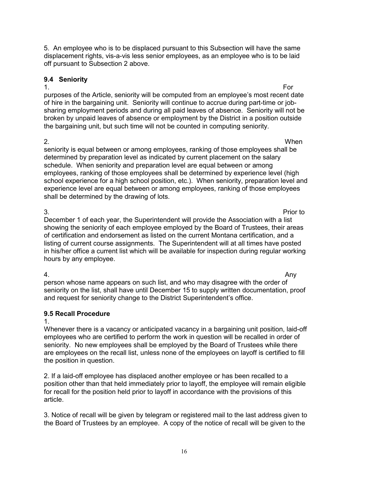5. An employee who is to be displaced pursuant to this Subsection will have the same displacement rights, vis-a-vis less senior employees, as an employee who is to be laid off pursuant to Subsection 2 above.

#### **9.4 Seniority**

1. For purposes of the Article, seniority will be computed from an employee's most recent date of hire in the bargaining unit. Seniority will continue to accrue during part-time or jobsharing employment periods and during all paid leaves of absence. Seniority will not be broken by unpaid leaves of absence or employment by the District in a position outside the bargaining unit, but such time will not be counted in computing seniority.

2. When seniority is equal between or among employees, ranking of those employees shall be determined by preparation level as indicated by current placement on the salary schedule. When seniority and preparation level are equal between or among employees, ranking of those employees shall be determined by experience level (high school experience for a high school position, etc.). When seniority, preparation level and experience level are equal between or among employees, ranking of those employees shall be determined by the drawing of lots.

3. Prior to December 1 of each year, the Superintendent will provide the Association with a list showing the seniority of each employee employed by the Board of Trustees, their areas of certification and endorsement as listed on the current Montana certification, and a listing of current course assignments. The Superintendent will at all times have posted in his/her office a current list which will be available for inspection during regular working hours by any employee.

4. Any person whose name appears on such list, and who may disagree with the order of seniority on the list, shall have until December 15 to supply written documentation, proof and request for seniority change to the District Superintendent's office.

### **9.5 Recall Procedure**

#### 1.

Whenever there is a vacancy or anticipated vacancy in a bargaining unit position, laid-off employees who are certified to perform the work in question will be recalled in order of seniority. No new employees shall be employed by the Board of Trustees while there are employees on the recall list, unless none of the employees on layoff is certified to fill the position in question.

2. If a laid-off employee has displaced another employee or has been recalled to a position other than that held immediately prior to layoff, the employee will remain eligible for recall for the position held prior to layoff in accordance with the provisions of this article.

3. Notice of recall will be given by telegram or registered mail to the last address given to the Board of Trustees by an employee. A copy of the notice of recall will be given to the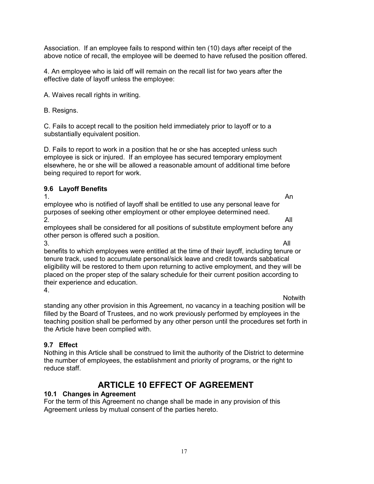Association. If an employee fails to respond within ten (10) days after receipt of the above notice of recall, the employee will be deemed to have refused the position offered.

4. An employee who is laid off will remain on the recall list for two years after the effective date of layoff unless the employee:

A. Waives recall rights in writing.

B. Resigns.

C. Fails to accept recall to the position held immediately prior to layoff or to a substantially equivalent position.

D. Fails to report to work in a position that he or she has accepted unless such employee is sick or injured. If an employee has secured temporary employment elsewhere, he or she will be allowed a reasonable amount of additional time before being required to report for work.

#### **9.6 Layoff Benefits**

1. An and the contract of the contract of the contract of the contract of the contract of the contract of the contract of the contract of the contract of the contract of the contract of the contract of the contract of the employee who is notified of layoff shall be entitled to use any personal leave for purposes of seeking other employment or other employee determined need. 2. All

employees shall be considered for all positions of substitute employment before any other person is offered such a position.

 $3.$  All benefits to which employees were entitled at the time of their layoff, including tenure or tenure track, used to accumulate personal/sick leave and credit towards sabbatical eligibility will be restored to them upon returning to active employment, and they will be placed on the proper step of the salary schedule for their current position according to their experience and education. 4.

Notwith

standing any other provision in this Agreement, no vacancy in a teaching position will be filled by the Board of Trustees, and no work previously performed by employees in the teaching position shall be performed by any other person until the procedures set forth in the Article have been complied with.

#### **9.7 Effect**

Nothing in this Article shall be construed to limit the authority of the District to determine the number of employees, the establishment and priority of programs, or the right to reduce staff.

### **ARTICLE 10 EFFECT OF AGREEMENT**

#### **10.1 Changes in Agreement**

For the term of this Agreement no change shall be made in any provision of this Agreement unless by mutual consent of the parties hereto.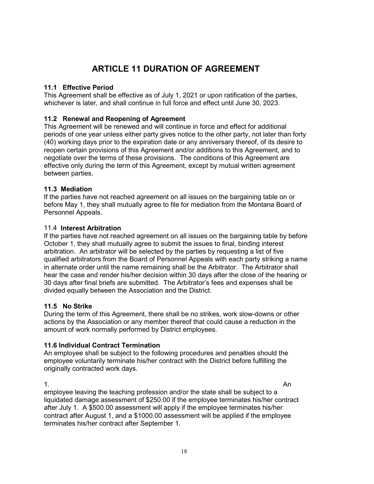### **ARTICLE 11 DURATION OF AGREEMENT**

#### **11.1 Effective Period**

This Agreement shall be effective as of July 1, 2021 or upon ratification of the parties, whichever is later, and shall continue in full force and effect until June 30, 2023.

#### **11.2 Renewal and Reopening of Agreement**

This Agreement will be renewed and will continue in force and effect for additional periods of one year unless either party gives notice to the other party, not later than forty (40) working days prior to the expiration date or any anniversary thereof, of its desire to reopen certain provisions of this Agreement and/or additions to this Agreement, and to negotiate over the terms of these provisions. The conditions of this Agreement are effective only during the term of this Agreement, except by mutual written agreement between parties.

#### **11.3 Mediation**

If the parties have not reached agreement on all issues on the bargaining table on or before May 1, they shall mutually agree to file for mediation from the Montana Board of Personnel Appeals.

#### 11.4 **Interest Arbitration**

If the parties have not reached agreement on all issues on the bargaining table by before October 1, they shall mutually agree to submit the issues to final, binding interest arbitration. An arbitrator will be selected by the parties by requesting a list of five qualified arbitrators from the Board of Personnel Appeals with each party striking a name in alternate order until the name remaining shall be the Arbitrator. The Arbitrator shall hear the case and render his/her decision within 30 days after the close of the hearing or 30 days after final briefs are submitted. The Arbitrator's fees and expenses shall be divided equally between the Association and the District.

#### **11.5 No Strike**

During the term of this Agreement, there shall be no strikes, work slow-downs or other actions by the Association or any member thereof that could cause a reduction in the amount of work normally performed by District employees.

#### **11.6 Individual Contract Termination**

An employee shall be subject to the following procedures and penalties should the employee voluntarily terminate his/her contract with the District before fulfilling the originally contracted work days.

1. An and the contract of the contract of the contract of the contract of the contract of the contract of the contract of the contract of the contract of the contract of the contract of the contract of the contract of the employee leaving the teaching profession and/or the state shall be subject to a liquidated damage assessment of \$250.00 if the employee terminates his/her contract after July 1. A \$500.00 assessment will apply if the employee terminates his/her contract after August 1, and a \$1000.00 assessment will be applied if the employee terminates his/her contract after September 1.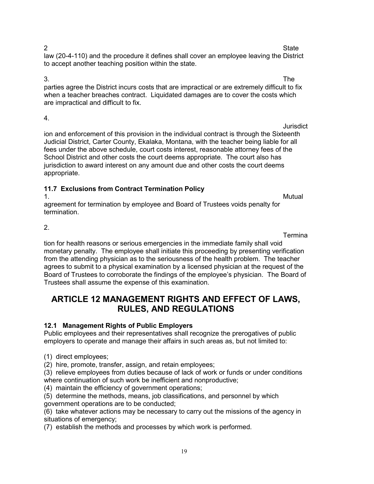4.

2 law (20-4-110) and the procedure it defines shall cover an employee leaving the District to accept another teaching position within the state.

3. The parties agree the District incurs costs that are impractical or are extremely difficult to fix when a teacher breaches contract. Liquidated damages are to cover the costs which are impractical and difficult to fix.

ion and enforcement of this provision in the individual contract is through the Sixteenth Judicial District, Carter County, Ekalaka, Montana, with the teacher being liable for all fees under the above schedule, court costs interest, reasonable attorney fees of the School District and other costs the court deems appropriate. The court also has jurisdiction to award interest on any amount due and other costs the court deems appropriate.

### **11.7 Exclusions from Contract Termination Policy**

1. Mutual mentregree of the contract of the contract of the matter of the Mutual methods of the matter of the m agreement for termination by employee and Board of Trustees voids penalty for termination.

2.

**Termina** 

tion for health reasons or serious emergencies in the immediate family shall void monetary penalty. The employee shall initiate this proceeding by presenting verification from the attending physician as to the seriousness of the health problem. The teacher agrees to submit to a physical examination by a licensed physician at the request of the Board of Trustees to corroborate the findings of the employee's physician. The Board of Trustees shall assume the expense of this examination.

### **ARTICLE 12 MANAGEMENT RIGHTS AND EFFECT OF LAWS, RULES, AND REGULATIONS**

### **12.1 Management Rights of Public Employers**

Public employees and their representatives shall recognize the prerogatives of public employers to operate and manage their affairs in such areas as, but not limited to:

(1) direct employees;

(2) hire, promote, transfer, assign, and retain employees;

(3) relieve employees from duties because of lack of work or funds or under conditions where continuation of such work be inefficient and nonproductive;

(4) maintain the efficiency of government operations;

(5) determine the methods, means, job classifications, and personnel by which government operations are to be conducted;

(6) take whatever actions may be necessary to carry out the missions of the agency in situations of emergency;

(7) establish the methods and processes by which work is performed.

Jurisdict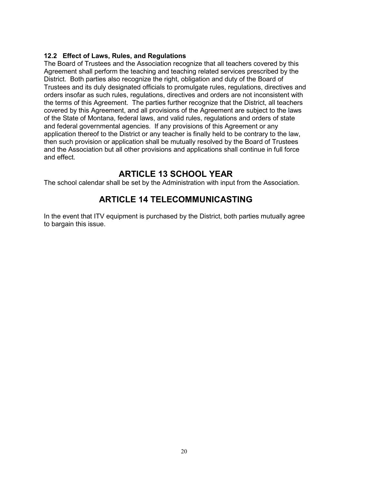#### **12.2 Effect of Laws, Rules, and Regulations**

The Board of Trustees and the Association recognize that all teachers covered by this Agreement shall perform the teaching and teaching related services prescribed by the District. Both parties also recognize the right, obligation and duty of the Board of Trustees and its duly designated officials to promulgate rules, regulations, directives and orders insofar as such rules, regulations, directives and orders are not inconsistent with the terms of this Agreement. The parties further recognize that the District, all teachers covered by this Agreement, and all provisions of the Agreement are subject to the laws of the State of Montana, federal laws, and valid rules, regulations and orders of state and federal governmental agencies. If any provisions of this Agreement or any application thereof to the District or any teacher is finally held to be contrary to the law, then such provision or application shall be mutually resolved by the Board of Trustees and the Association but all other provisions and applications shall continue in full force and effect.

### **ARTICLE 13 SCHOOL YEAR**

The school calendar shall be set by the Administration with input from the Association.

### **ARTICLE 14 TELECOMMUNICASTING**

In the event that ITV equipment is purchased by the District, both parties mutually agree to bargain this issue.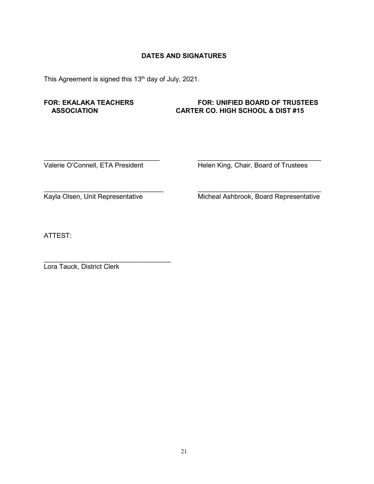#### **DATES AND SIGNATURES**

This Agreement is signed this 13<sup>th</sup> day of July, 2021.

#### **FOR: EKALAKA TEACHERS FOR: UNIFIED BOARD OF TRUSTEES CARTER CO. HIGH SCHOOL & DIST #15**

 $\_$  , and the set of the set of the set of the set of the set of the set of the set of the set of the set of the set of the set of the set of the set of the set of the set of the set of the set of the set of the set of th

Valerie O'Connell, ETA President Helen King, Chair, Board of Trustees

\_\_\_\_\_\_\_\_\_\_\_\_\_\_\_\_\_\_\_\_\_\_\_\_\_\_\_\_\_\_\_\_ \_\_\_\_\_\_\_\_\_\_\_\_\_\_\_\_\_\_\_\_\_\_\_\_\_\_\_\_\_\_\_\_\_

Kayla Olsen, Unit Representative Micheal Ashbrook, Board Representative

ATTEST:

\_\_\_\_\_\_\_\_\_\_\_\_\_\_\_\_\_\_\_\_\_\_\_\_\_\_\_\_\_\_\_\_\_\_ Lora Tauck, District Clerk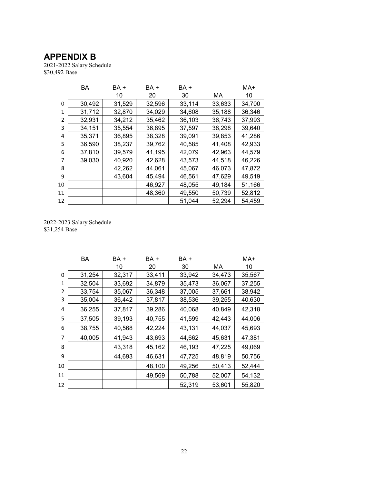### **APPENDIX B**

2021-2022 Salary Schedule \$30,492 Base

|    | BA     | BA +   | BA +   | BA +   |        | MA+    |
|----|--------|--------|--------|--------|--------|--------|
|    |        | 10     | 20     | 30     | МA     | 10     |
| 0  | 30,492 | 31,529 | 32,596 | 33,114 | 33,633 | 34,700 |
| 1  | 31,712 | 32,870 | 34,029 | 34,608 | 35,188 | 36,346 |
| 2  | 32,931 | 34,212 | 35,462 | 36,103 | 36,743 | 37,993 |
| 3  | 34,151 | 35,554 | 36,895 | 37,597 | 38,298 | 39,640 |
| 4  | 35,371 | 36,895 | 38,328 | 39,091 | 39,853 | 41,286 |
| 5  | 36,590 | 38,237 | 39,762 | 40,585 | 41,408 | 42,933 |
| 6  | 37,810 | 39,579 | 41,195 | 42,079 | 42,963 | 44,579 |
| 7  | 39,030 | 40,920 | 42,628 | 43,573 | 44,518 | 46,226 |
| 8  |        | 42,262 | 44,061 | 45,067 | 46,073 | 47,872 |
| 9  |        | 43,604 | 45,494 | 46,561 | 47,629 | 49,519 |
| 10 |        |        | 46,927 | 48,055 | 49,184 | 51,166 |
| 11 |        |        | 48,360 | 49,550 | 50,739 | 52,812 |
| 12 |        |        |        | 51,044 | 52,294 | 54,459 |

2022-2023 Salary Schedule \$31,254 Base

|    | ВA     | BA +   | BA +   | BA +   |        | MA+    |
|----|--------|--------|--------|--------|--------|--------|
|    |        | 10     | 20     | 30     | МA     | 10     |
| 0  | 31,254 | 32,317 | 33,411 | 33,942 | 34,473 | 35,567 |
| 1  | 32,504 | 33,692 | 34,879 | 35,473 | 36,067 | 37,255 |
| 2  | 33,754 | 35,067 | 36,348 | 37,005 | 37,661 | 38,942 |
| 3  | 35,004 | 36,442 | 37,817 | 38,536 | 39,255 | 40,630 |
| 4  | 36,255 | 37,817 | 39,286 | 40,068 | 40,849 | 42,318 |
| 5  | 37,505 | 39,193 | 40,755 | 41,599 | 42,443 | 44,006 |
| 6  | 38,755 | 40,568 | 42,224 | 43,131 | 44,037 | 45,693 |
| 7  | 40,005 | 41,943 | 43,693 | 44,662 | 45,631 | 47,381 |
| 8  |        | 43,318 | 45,162 | 46,193 | 47,225 | 49,069 |
| 9  |        | 44,693 | 46,631 | 47,725 | 48,819 | 50,756 |
| 10 |        |        | 48,100 | 49,256 | 50,413 | 52,444 |
| 11 |        |        | 49,569 | 50,788 | 52,007 | 54,132 |
| 12 |        |        |        | 52,319 | 53,601 | 55,820 |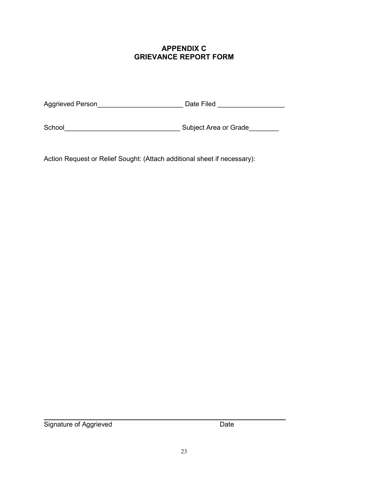### **APPENDIX C GRIEVANCE REPORT FORM**

| <b>Aggrieved Person</b> | Date Filed |
|-------------------------|------------|
|-------------------------|------------|

School\_\_\_\_\_\_\_\_\_\_\_\_\_\_\_\_\_\_\_\_\_\_\_\_\_\_\_\_\_\_\_ Subject Area or Grade\_\_\_\_\_\_\_\_

Action Request or Relief Sought: (Attach additional sheet if necessary):

### Signature of Aggrieved Date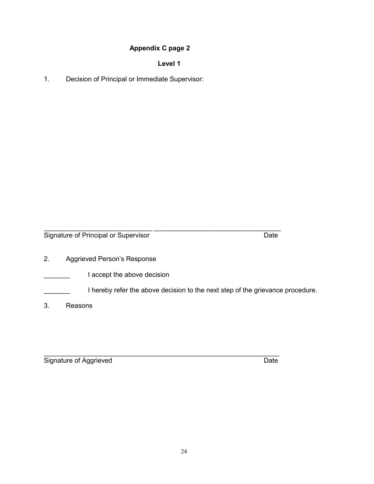### **Appendix C page 2**

 **Level 1**

1. Decision of Principal or Immediate Supervisor:

 $\_$  , and the set of the set of the set of the set of the set of the set of the set of the set of the set of the set of the set of the set of the set of the set of the set of the set of the set of the set of the set of th Signature of Principal or Supervisor **Date Date** 2. Aggrieved Person's Response **Example 2** I accept the above decision **I** hereby refer the above decision to the next step of the grievance procedure.

 $\_$  , and the set of the set of the set of the set of the set of the set of the set of the set of the set of the set of the set of the set of the set of the set of the set of the set of the set of the set of the set of th

3. Reasons

Signature of Aggrieved Date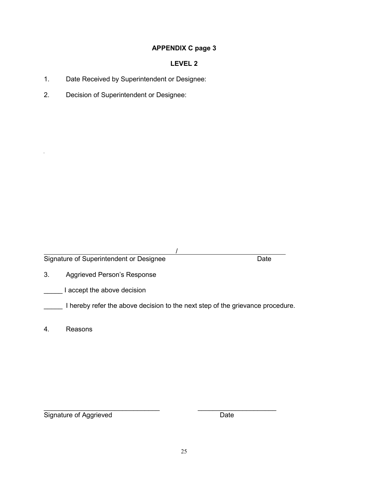### **APPENDIX C page 3**

#### **LEVEL 2**

- 1. Date Received by Superintendent or Designee:
- 2. Decision of Superintendent or Designee:

Signature of Superintendent or Designee National Control of Date

3. Aggrieved Person's Response

**Laccept the above decision** 

I hereby refer the above decision to the next step of the grievance procedure.

/

4*.* Reasons

 $\_$  , and the set of the set of the set of the set of the set of the set of the set of the set of the set of the set of the set of the set of the set of the set of the set of the set of the set of the set of the set of th Signature of Aggrieved Date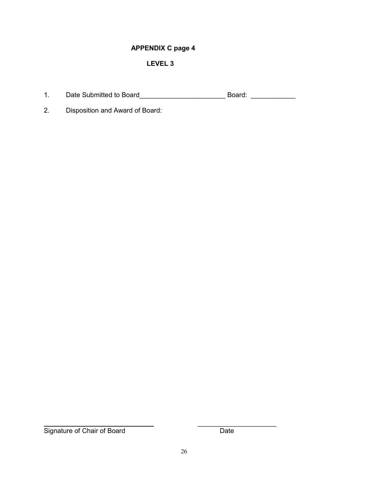#### **APPENDIX C page 4**

#### **LEVEL 3**

- 1*.* Date Submitted to Board\_\_\_\_\_\_\_\_\_\_\_\_\_\_\_\_\_\_\_\_\_\_\_ Board: \_\_\_\_\_\_\_\_\_\_\_\_
- 2. Disposition and Award of Board:

 $\overline{\phantom{a}}$  , where  $\overline{\phantom{a}}$  , where  $\overline{\phantom{a}}$ 

Signature of Chair of Board Date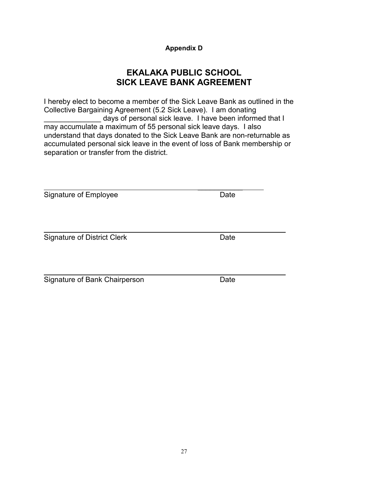#### **Appendix D**

### **EKALAKA PUBLIC SCHOOL SICK LEAVE BANK AGREEMENT**

I hereby elect to become a member of the Sick Leave Bank as outlined in the Collective Bargaining Agreement (5.2 Sick Leave). I am donating days of personal sick leave. I have been informed that I may accumulate a maximum of 55 personal sick leave days. I also understand that days donated to the Sick Leave Bank are non-returnable as accumulated personal sick leave in the event of loss of Bank membership or separation or transfer from the district.

Signature of Employee Date

**Signature of District Clerk Date** 

Signature of Bank Chairperson **Date** 

 $\overline{\phantom{a}}$  , where  $\overline{\phantom{a}}$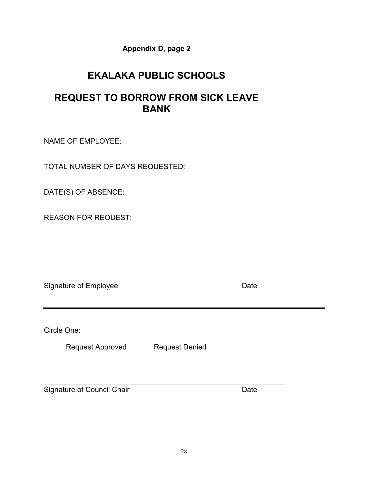### **Appendix D, page 2**

## **EKALAKA PUBLIC SCHOOLS**

### **REQUEST TO BORROW FROM SICK LEAVE BANK**

NAME OF EMPLOYEE:

TOTAL NUMBER OF DAYS REQUESTED:

DATE(S) OF ABSENCE:

REASON FOR REQUEST:

Signature of Employee Date Date

Circle One:

Request Approved Request Denied

Signature of Council Chair **Date** Date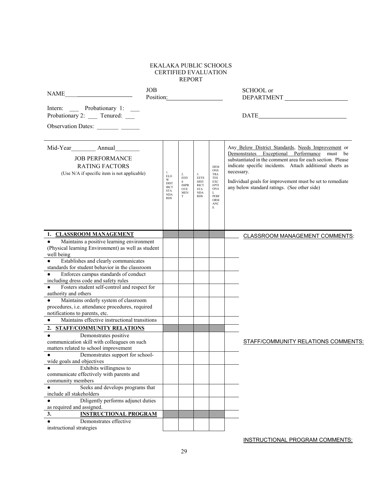#### EKALAKA PUBLIC SCHOOLS CERTIFIED EVALUATION REPORT

| <b>JOB</b>                                                                                                                                                                                                                                                                                                                                                                                                                                                                                                                                                                                                                                                                                                                                                                                                                                                                                                                                                                                                                                                                                                               | Position:                                                                              |                                                                |                                                                                    |                                                                                                        | SCHOOL or<br>DEPARTMENT                                                                                                                                                                                                                                                                                                                                 |
|--------------------------------------------------------------------------------------------------------------------------------------------------------------------------------------------------------------------------------------------------------------------------------------------------------------------------------------------------------------------------------------------------------------------------------------------------------------------------------------------------------------------------------------------------------------------------------------------------------------------------------------------------------------------------------------------------------------------------------------------------------------------------------------------------------------------------------------------------------------------------------------------------------------------------------------------------------------------------------------------------------------------------------------------------------------------------------------------------------------------------|----------------------------------------------------------------------------------------|----------------------------------------------------------------|------------------------------------------------------------------------------------|--------------------------------------------------------------------------------------------------------|---------------------------------------------------------------------------------------------------------------------------------------------------------------------------------------------------------------------------------------------------------------------------------------------------------------------------------------------------------|
| Intern: Probationary 1: ____<br>Probationary 2: __ Tenured: __                                                                                                                                                                                                                                                                                                                                                                                                                                                                                                                                                                                                                                                                                                                                                                                                                                                                                                                                                                                                                                                           |                                                                                        |                                                                |                                                                                    |                                                                                                        | $\begin{tabular}{c} DATE \textcolor{red}{\textbf{0.0002}} \end{tabular}$                                                                                                                                                                                                                                                                                |
| Mid-Year Annual<br><b>JOB PERFORMANCE</b><br><b>RATING FACTORS</b><br>(Use N/A if specific item is not applicable)                                                                                                                                                                                                                                                                                                                                                                                                                                                                                                                                                                                                                                                                                                                                                                                                                                                                                                                                                                                                       | 1.<br>ELO<br>W<br><b>DIST</b><br><b>IRCT</b><br><b>STA</b><br><b>NDA</b><br><b>RDS</b> | 2.<br>EED<br>S<br><b>IMPR</b><br><b>OVE</b><br><b>MEN</b><br>T | 3.<br><b>EETS</b><br><b>DIST</b><br><b>RICT</b><br>STA<br><b>NDA</b><br><b>RDS</b> | DEM<br><b>ONS</b><br>TRA<br><b>TES</b><br>EXC<br>EPTI<br>$_{\rm ONA}$<br>L.<br>PERF<br>ORM<br>ANC<br>Е | Any Below District Standards, Needs Improvement or<br>Demonstrates Exceptional Performance must be<br>substantiated in the comment area for each section. Please<br>indicate specific incidents. Attach additional sheets as<br>necessary.<br>Individual goals for improvement must be set to remediate<br>any below standard ratings. (See other side) |
| 1. CLASSROOM MANAGEMENT                                                                                                                                                                                                                                                                                                                                                                                                                                                                                                                                                                                                                                                                                                                                                                                                                                                                                                                                                                                                                                                                                                  |                                                                                        |                                                                |                                                                                    |                                                                                                        | <b>CLASSROOM MANAGEMENT COMMENTS:</b>                                                                                                                                                                                                                                                                                                                   |
| Maintains a positive learning environment<br>(Physical learning Environment) as well as student<br>well being<br>Establishes and clearly communicates<br>standards for student behavior in the classroom<br>Enforces campus standards of conduct<br>including dress code and safety rules<br>Fosters student self-control and respect for<br>$\bullet$<br>authority and others<br>Maintains orderly system of classroom<br>procedures, i.e. attendance procedures, required<br>notifications to parents, etc.<br>Maintains effective instructional transitions<br>$\bullet$<br>2. STAFF/COMMUNITY RELATIONS<br>Demonstrates positive<br>communication skill with colleagues on such<br>matters related to school improvement<br>Demonstrates support for school-<br>wide goals and objectives<br>Exhibits willingness to<br>communicate effectively with parents and<br>community members<br>Seeks and develops programs that<br>include all stakeholders<br>Diligently performs adjunct duties<br>as required and assigned.<br><b>INSTRUCTIONAL PROGRAM</b><br>3.<br>Demonstrates effective<br>instructional strategies |                                                                                        |                                                                |                                                                                    |                                                                                                        | STAFF/COMMUNITY RELATIONS COMMENTS:                                                                                                                                                                                                                                                                                                                     |

INSTRUCTIONAL PROGRAM COMMENTS: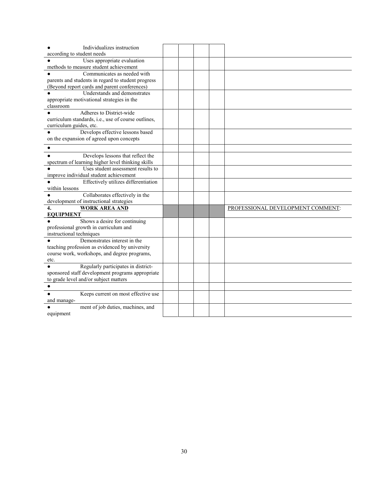| Individualizes instruction                          |  |                                   |
|-----------------------------------------------------|--|-----------------------------------|
| according to student needs                          |  |                                   |
| Uses appropriate evaluation                         |  |                                   |
| methods to measure student achievement              |  |                                   |
| Communicates as needed with                         |  |                                   |
| parents and students in regard to student progress  |  |                                   |
| (Beyond report cards and parent conferences)        |  |                                   |
| Understands and demonstrates                        |  |                                   |
| appropriate motivational strategies in the          |  |                                   |
| classroom                                           |  |                                   |
| Adheres to District-wide                            |  |                                   |
| curriculum standards, i.e., use of course outlines, |  |                                   |
| curriculum guides, etc.                             |  |                                   |
| Develops effective lessons based                    |  |                                   |
| on the expansion of agreed upon concepts            |  |                                   |
|                                                     |  |                                   |
| $\bullet$                                           |  |                                   |
| Develops lessons that reflect the                   |  |                                   |
| spectrum of learning higher level thinking skills   |  |                                   |
| Uses student assessment results to                  |  |                                   |
| improve individual student achievement              |  |                                   |
| Effectively utilizes differentiation                |  |                                   |
| within lessons                                      |  |                                   |
| Collaborates effectively in the                     |  |                                   |
| development of instructional strategies             |  |                                   |
| <b>WORK AREA AND</b><br>4.                          |  | PROFESSIONAL DEVELOPMENT COMMENT: |
| <b>EQUIPMENT</b>                                    |  |                                   |
| Shows a desire for continuing                       |  |                                   |
| professional growth in curriculum and               |  |                                   |
| instructional techniques                            |  |                                   |
| Demonstrates interest in the                        |  |                                   |
| teaching profession as evidenced by university      |  |                                   |
| course work, workshops, and degree programs,        |  |                                   |
|                                                     |  |                                   |
| etc.                                                |  |                                   |
| Regularly participates in district-                 |  |                                   |
| sponsored staff development programs appropriate    |  |                                   |
| to grade level and/or subject matters               |  |                                   |
| $\bullet$                                           |  |                                   |
| Keeps current on most effective use                 |  |                                   |
| and manage-                                         |  |                                   |
| ment of job duties, machines, and                   |  |                                   |
| equipment                                           |  |                                   |
|                                                     |  |                                   |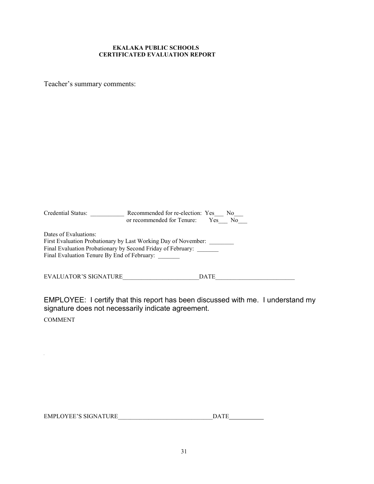#### **EKALAKA PUBLIC SCHOOLS CERTIFICATED EVALUATION REPORT**

Teacher's summary comments:

 $\hat{\mathcal{A}}$ 

| Credential Status:                                                                                                                                                                                    | Recommended for re-election: Yes<br>or recommended for Tenure: Yes No | No.  |
|-------------------------------------------------------------------------------------------------------------------------------------------------------------------------------------------------------|-----------------------------------------------------------------------|------|
| Dates of Evaluations:<br>First Evaluation Probationary by Last Working Day of November:<br>Final Evaluation Probationary by Second Friday of February:<br>Final Evaluation Tenure By End of February: |                                                                       |      |
| EVALUATOR'S SIGNATURE                                                                                                                                                                                 |                                                                       | DATE |

EMPLOYEE: I certify that this report has been discussed with me. I understand my signature does not necessarily indicate agreement. COMMENT

| <b>ATURE</b><br><b>EMPLOYEE'S SIGNAT</b> |  |
|------------------------------------------|--|
|------------------------------------------|--|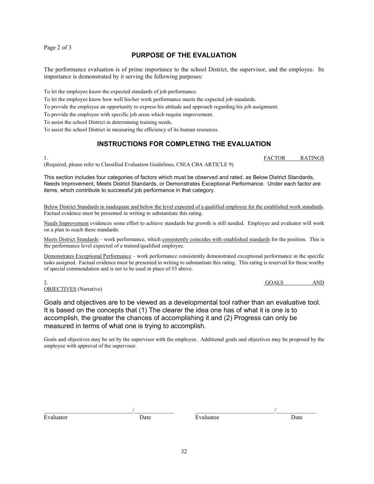Page 2 of 3

#### **PURPOSE OF THE EVALUATION**

The performance evaluation is of prime importance to the school District, the supervisor, and the employee. Its importance is demonstrated by it serving the following purposes:

To let the employee know the expected standards of job performance.

To let the employee know how well his/her work performance meets the expected job standards.

To provide the employee an opportunity to express his attitude and approach regarding his job assignment.

To provide the employee with specific job areas which require improvement.

To assist the school District in determining training needs.

To assist the school District in measuring the efficiency of its human resources.

#### **INSTRUCTIONS FOR COMPLETING THE EVALUATION**

(Required, please refer to Classified Evaluation Guidelines, CSEA CBA ARTICLE 9)

1. Separate the set of the set of the set of the set of the set of the set of the set of the set of the set of the set of the set of the set of the set of the set of the set of the set of the set of the set of the set of t

This section includes four categories of factors which must be observed and rated, as Below District Standards, Needs Improvement, Meets District Standards, or Demonstrates Exceptional Performance. Under each factor are items, which contribute to successful job performance in that category.

Below District Standards in inadequate and below the level expected of a qualified employee for the established work standards. Factual evidence must be presented in writing to substantiate this rating.

Needs Improvement evidences some effort to achieve standards but growth is still needed. Employee and evaluator will work on a plan to reach these standards.

Meets District Standards – work performance, which consistently coincides with established standards for the position. This is the performance level expected of a trained/qualified employee.

Demonstrates Exceptional Performance – work performance consistently demonstrated exceptional performance in the specific tasks assigned. Factual evidence must be presented in writing to substantiate this rating. This rating is reserved for those worthy of special commendation and is not to be used in place of #3 above.

2. Separate the contract of the contract of the contract of the contract of the contract of the contract of the contract of the contract of the contract of the contract of the contract of the contract of the contract of th

OBJECTIVES (Narrative)

Goals and objectives are to be viewed as a developmental tool rather than an evaluative tool. It is based on the concepts that (1) The clearer the idea one has of what it is one is to accomplish, the greater the chances of accomplishing it and (2) Progress can only be measured in terms of what one is trying to accomplish.

Goals and objectives may be set by the supervisor with the employee. Additional goals and objectives may be proposed by the employee with approval of the supervisor.

Evaluator Date Date Evaluatee Date Date

\_\_\_\_\_\_\_\_\_\_\_\_\_\_\_\_\_\_\_\_\_\_\_\_\_\_\_\_\_/\_\_\_\_\_\_\_\_\_\_\_\_\_ \_\_\_\_\_\_\_\_\_\_\_\_\_\_\_\_\_\_\_\_\_\_\_\_\_\_/\_\_\_\_\_\_\_\_\_\_\_\_\_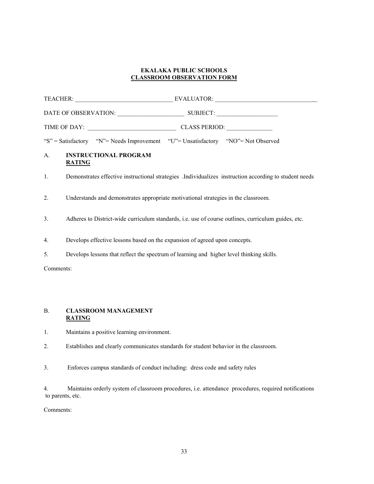#### **EKALAKA PUBLIC SCHOOLS CLASSROOM OBSERVATION FORM**

| "S" = Satisfactory "N" = Needs Improvement "U" = Unsatisfactory "NO" = Not Observed |                                                                                                        |
|-------------------------------------------------------------------------------------|--------------------------------------------------------------------------------------------------------|
| А.                                                                                  | <b>INSTRUCTIONAL PROGRAM</b><br><b>RATING</b>                                                          |
| 1.                                                                                  | Demonstrates effective instructional strategies .Individualizes instruction according to student needs |
| 2.                                                                                  | Understands and demonstrates appropriate motivational strategies in the classroom.                     |
| 3.                                                                                  | Adheres to District-wide curriculum standards, i.e. use of course outlines, curriculum guides, etc.    |
| 4.                                                                                  | Develops effective lessons based on the expansion of agreed upon concepts.                             |
| 5.                                                                                  | Develops lessons that reflect the spectrum of learning and higher level thinking skills.               |
| Comments:                                                                           |                                                                                                        |
|                                                                                     |                                                                                                        |
|                                                                                     |                                                                                                        |
| B.                                                                                  | <b>CLASSROOM MANAGEMENT</b><br><b>RATING</b>                                                           |

- 1. Maintains a positive learning environment.
- 2. Establishes and clearly communicates standards for student behavior in the classroom.
- 3. Enforces campus standards of conduct including: dress code and safety rules

4. Maintains orderly system of classroom procedures, i.e. attendance procedures, required notifications to parents, etc.

Comments: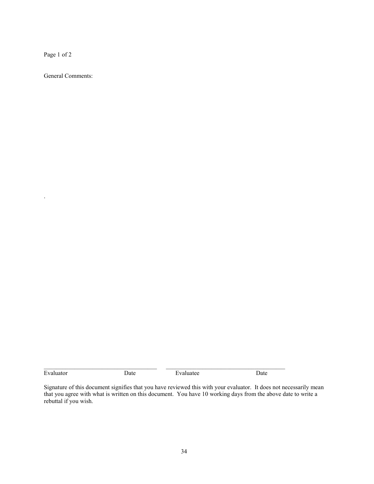Page 1 of 2

.

General Comments:

Evaluator Date **Date** Evaluatee Date

 $\mathcal{L}_\text{max}$  , and the set of the set of the set of the set of the set of the set of the set of the set of the set of

Signature of this document signifies that you have reviewed this with your evaluator. It does not necessarily mean that you agree with what is written on this document. You have 10 working days from the above date to write a rebuttal if you wish.